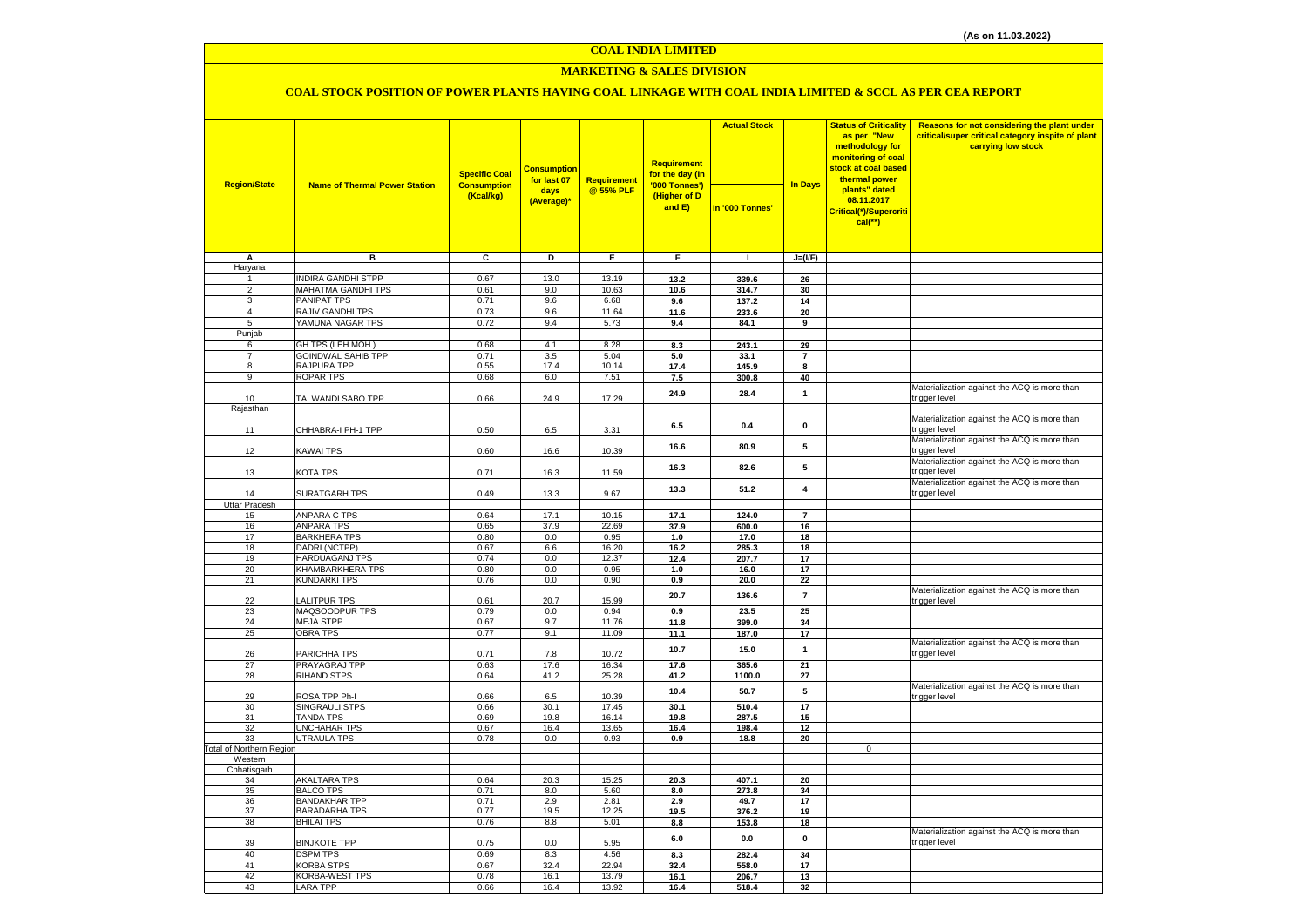#### **COAL INDIA LIMITED**

### **MARKETING & SALES DIVISION**

### **COAL STOCK POSITION OF POWER PLANTS HAVING COAL LINKAGE WITH COAL INDIA LIMITED & SCCL AS PER CEA REPORT**

| <b>Region/State</b>      | <b>Name of Thermal Power Station</b>      | <b>Specific Coal</b><br><b>Consumption</b> | <b>Consumption</b><br>for last 07 | Requirement    | <b>Requirement</b><br>for the day (In<br>'000 Tonnes') | <b>Actual Stock</b> | <b>In Days</b> | <b>Status of Criticality</b><br>as per "New<br>methodology for<br>monitoring of coal<br>stock at coal based<br>thermal power | Reasons for not considering the plant under<br>critical/super critical category inspite of plant<br>carrying low stock |
|--------------------------|-------------------------------------------|--------------------------------------------|-----------------------------------|----------------|--------------------------------------------------------|---------------------|----------------|------------------------------------------------------------------------------------------------------------------------------|------------------------------------------------------------------------------------------------------------------------|
|                          |                                           | (Kcal/kg)                                  | days<br>(Average)*                | @ 55% PLF      | (Higher of D<br>and E)                                 | In '000 Tonnes'     |                | plants" dated<br>08.11.2017<br>Critical(*)/Supercriti<br>$cal$ (**)                                                          |                                                                                                                        |
|                          |                                           |                                            |                                   |                |                                                        |                     |                |                                                                                                                              |                                                                                                                        |
| A                        | в                                         | C                                          | D                                 | Е              | F.                                                     | $\mathbf{I}$        | $J=(I/F)$      |                                                                                                                              |                                                                                                                        |
| Haryana                  | <b>INDIRA GANDHI STPP</b>                 | 0.67                                       | 13.0                              | 13.19          | 13.2                                                   | 339.6               | 26             |                                                                                                                              |                                                                                                                        |
| $\overline{2}$           | <b>MAHATMA GANDHI TPS</b>                 | 0.61                                       | 9.0                               | 10.63          | 10.6                                                   | 314.7               | 30             |                                                                                                                              |                                                                                                                        |
| 3                        | <b>PANIPAT TPS</b>                        | 0.71                                       | 9.6                               | 6.68           | 9.6                                                    | 137.2               | 14             |                                                                                                                              |                                                                                                                        |
| $\overline{4}$           | RAJIV GANDHI TPS                          | 0.73                                       | 9.6                               | 11.64          | 11.6                                                   | 233.6               | 20             |                                                                                                                              |                                                                                                                        |
| 5<br>Punjab              | YAMUNA NAGAR TPS                          | 0.72                                       | 9.4                               | 5.73           | 9.4                                                    | 84.1                | 9              |                                                                                                                              |                                                                                                                        |
| 6                        | GH TPS (LEH.MOH.)                         | 0.68                                       | 4.1                               | 8.28           | 8.3                                                    | 243.1               | 29             |                                                                                                                              |                                                                                                                        |
| $\overline{7}$           | <b>GOINDWAL SAHIB TPP</b>                 | 0.71                                       | 3.5                               | 5.04           | 5.0                                                    | 33.1                | $\overline{7}$ |                                                                                                                              |                                                                                                                        |
| 8                        | <b>RAJPURA TPP</b>                        | 0.55                                       | 17.4                              | 10.14          | 17.4                                                   | 145.9               | 8              |                                                                                                                              |                                                                                                                        |
| 9                        | ROPAR TPS                                 | 0.68                                       | 6.0                               | 7.51           | 7.5                                                    | 300.8               | 40             |                                                                                                                              |                                                                                                                        |
| 10<br>Rajasthan          | TALWANDI SABO TPP                         | 0.66                                       | 24.9                              | 17.29          | 24.9                                                   | 28.4                | $\mathbf{1}$   |                                                                                                                              | Materialization against the ACQ is more than<br>trigger level                                                          |
|                          |                                           |                                            |                                   |                |                                                        |                     |                |                                                                                                                              | Materialization against the ACQ is more than                                                                           |
| 11                       | CHHABRA-I PH-1 TPP                        | 0.50                                       | 6.5                               | 3.31           | 6.5                                                    | 0.4                 | $\mathbf 0$    |                                                                                                                              | trigger level                                                                                                          |
| 12                       | KAWAI TPS                                 | 0.60                                       | 16.6                              | 10.39          | 16.6                                                   | 80.9                | 5              |                                                                                                                              | Materialization against the ACQ is more than<br>trigger level                                                          |
| 13                       | KOTA TPS                                  | 0.71                                       | 16.3                              | 11.59          | 16.3                                                   | 82.6                | 5              |                                                                                                                              | Materialization against the ACQ is more than<br>trigger level                                                          |
| 14                       | SURATGARH TPS                             | 0.49                                       | 13.3                              | 9.67           | 13.3                                                   | 51.2                | 4              |                                                                                                                              | Materialization against the ACQ is more than<br>trigger level                                                          |
| Uttar Pradesh            | <b>ANPARA C TPS</b>                       | 0.64                                       | 17.1                              | 10.15          | 17.1                                                   |                     | $\overline{7}$ |                                                                                                                              |                                                                                                                        |
| 15<br>16                 | ANPARA TPS                                | 0.65                                       | 37.9                              | 22.69          | 37.9                                                   | 124.0<br>600.0      | 16             |                                                                                                                              |                                                                                                                        |
| 17                       | <b>BARKHERA TPS</b>                       | 0.80                                       | 0.0                               | 0.95           | 1.0                                                    | 17.0                | 18             |                                                                                                                              |                                                                                                                        |
| 18                       | DADRI (NCTPP)                             | 0.67                                       | 6.6                               | 16.20          | 16.2                                                   | 285.3               | 18             |                                                                                                                              |                                                                                                                        |
| 19                       | <b>HARDUAGANJ TPS</b>                     | 0.74                                       | 0.0                               | 12.37          | 12.4                                                   | 207.7               | 17             |                                                                                                                              |                                                                                                                        |
| 20<br>21                 | KHAMBARKHERA TPS<br><b>KUNDARKI TPS</b>   | 0.80<br>0.76                               | 0.0<br>0.0                        | 0.95<br>0.90   | 1.0<br>0.9                                             | 16.0<br>20.0        | 17<br>22       |                                                                                                                              |                                                                                                                        |
| 22                       | <b>LALITPUR TPS</b>                       | 0.61                                       | 20.7                              | 15.99          | 20.7                                                   | 136.6               | $\overline{7}$ |                                                                                                                              | Materialization against the ACQ is more than<br>trigger level                                                          |
| 23                       | MAQSOODPUR TPS                            | 0.79                                       | 0.0                               | 0.94           | 0.9                                                    | 23.5                | 25             |                                                                                                                              |                                                                                                                        |
| 24                       | <b>MEJA STPP</b>                          | 0.67                                       | 9.7                               | 11.76          | 11.8                                                   | 399.0               | 34             |                                                                                                                              |                                                                                                                        |
| 25                       | <b>OBRA TPS</b>                           | 0.77                                       | 9.1                               | 11.09          | 11.1                                                   | 187.0               | 17             |                                                                                                                              | Materialization against the ACQ is more than                                                                           |
| 26                       | PARICHHA TPS                              | 0.71                                       | 7.8                               | 10.72          | 10.7                                                   | 15.0                | $\mathbf{1}$   |                                                                                                                              | trigger level                                                                                                          |
| 27<br>28                 | PRAYAGRAJ TPP<br><b>RIHAND STPS</b>       | 0.63<br>0.64                               | 17.6<br>41.2                      | 16.34<br>25.28 | 17.6<br>41.2                                           | 365.6<br>1100.0     | 21<br>27       |                                                                                                                              |                                                                                                                        |
| 29                       | ROSA TPP Ph-I                             | 0.66                                       | 6.5                               | 10.39          | 10.4                                                   | 50.7                | 5              |                                                                                                                              | Materialization against the ACQ is more than<br>trigger level                                                          |
| 30                       | SINGRAULI STPS                            | 0.66                                       | 30.1                              | 17.45          | 30.1                                                   | 510.4               | 17             |                                                                                                                              |                                                                                                                        |
| 31                       | <b>TANDA TPS</b>                          | 0.69                                       | 19.8                              | 16.14          | 19.8                                                   | 287.5               | 15             |                                                                                                                              |                                                                                                                        |
| 32<br>33                 | <b>UNCHAHAR TPS</b><br><b>UTRAULA TPS</b> | 0.67<br>0.78                               | 16.4<br>0.0                       | 13.65<br>0.93  | 16.4<br>0.9                                            | 198.4<br>18.8       | 12<br>20       |                                                                                                                              |                                                                                                                        |
| Total of Northern Region |                                           |                                            |                                   |                |                                                        |                     |                | $\mathbf 0$                                                                                                                  |                                                                                                                        |
| Western                  |                                           |                                            |                                   |                |                                                        |                     |                |                                                                                                                              |                                                                                                                        |
| Chhatisgarh<br>34        | <b>AKALTARA TPS</b>                       | 0.64                                       | 20.3                              | 15.25          |                                                        |                     |                |                                                                                                                              |                                                                                                                        |
| 35                       | <b>BALCO TPS</b>                          | 0.71                                       | 8.0                               | 5.60           | 20.3<br>8.0                                            | 407.1<br>273.8      | 20<br>34       |                                                                                                                              |                                                                                                                        |
| 36                       | <b>BANDAKHAR TPP</b>                      | 0.71                                       | 2.9                               | 2.81           | 2.9                                                    | 49.7                | 17             |                                                                                                                              |                                                                                                                        |
| 37                       | <b>BARADARHA TPS</b>                      | 0.77                                       | 19.5                              | 12.25          | 19.5                                                   | 376.2               | 19             |                                                                                                                              |                                                                                                                        |
| 38                       | <b>BHILAI TPS</b>                         | 0.76                                       | 8.8                               | 5.01           | 8.8                                                    | 153.8               | 18             |                                                                                                                              |                                                                                                                        |
| 39                       | <b>BINJKOTE TPP</b>                       | 0.75                                       | 0.0                               | 5.95           | 6.0                                                    | 0.0                 | $\pmb{0}$      |                                                                                                                              | Materialization against the ACQ is more than<br>trigger level                                                          |
| 40<br>41                 | <b>DSPM TPS</b><br>KORBA STPS             | 0.69<br>0.67                               | 8.3<br>32.4                       | 4.56<br>22.94  | 8.3                                                    | 282.4               | 34             |                                                                                                                              |                                                                                                                        |
| 42                       | KORBA-WEST TPS                            | 0.78                                       | 16.1                              | 13.79          | 32.4<br>16.1                                           | 558.0<br>206.7      | 17<br>13       |                                                                                                                              |                                                                                                                        |
| 43                       | LARA TPP                                  | 0.66                                       | 16.4                              | 13.92          | 16.4                                                   | 518.4               | 32             |                                                                                                                              |                                                                                                                        |
|                          |                                           |                                            |                                   |                |                                                        |                     |                |                                                                                                                              |                                                                                                                        |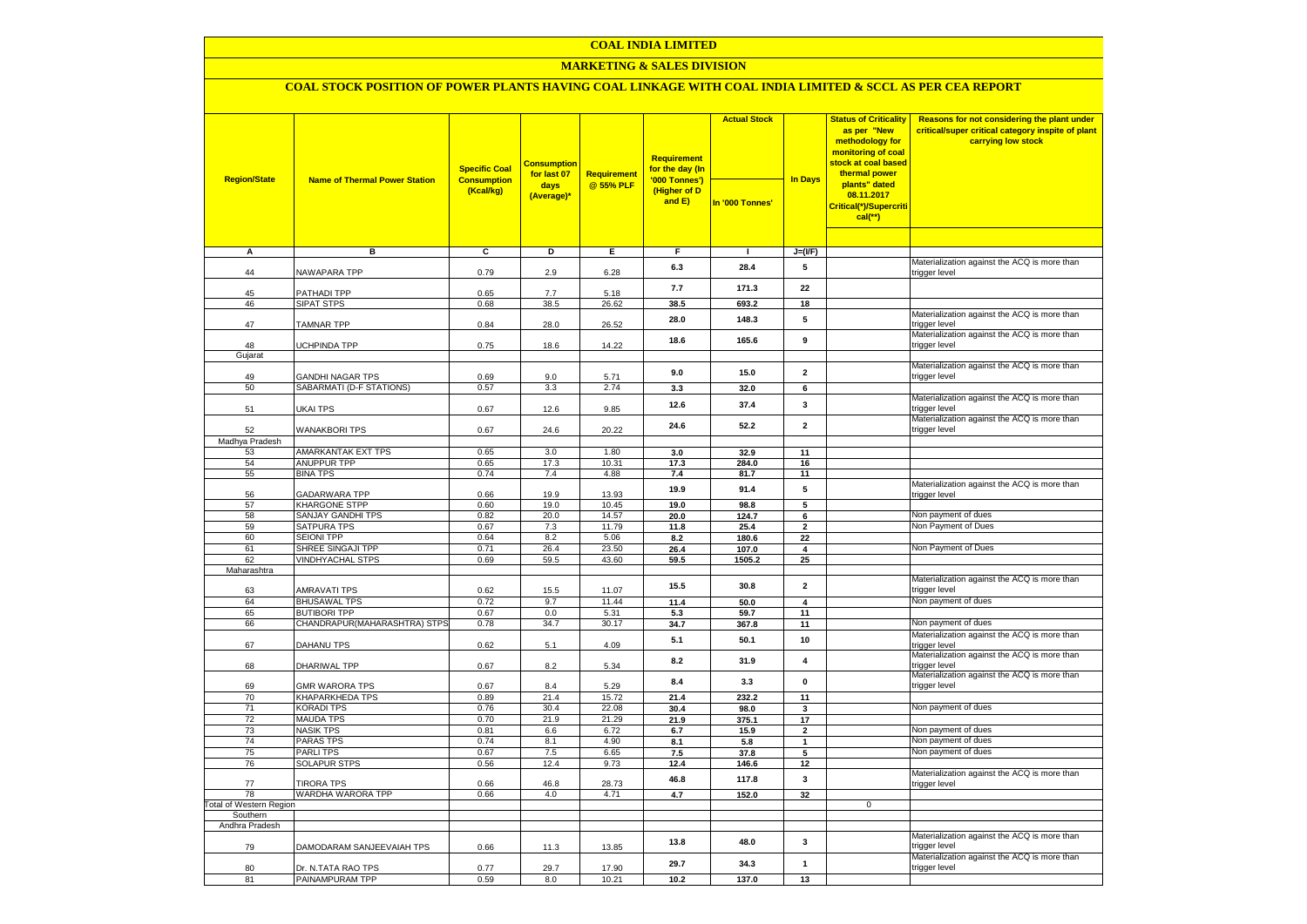### **COAL INDIA LIMITED**

### **MARKETING & SALES DIVISION**

# **COAL STOCK POSITION OF POWER PLANTS HAVING COAL LINKAGE WITH COAL INDIA LIMITED & SCCL AS PER CEA REPORT**

| <b>Region/State</b>                 | <b>Name of Thermal Power Station</b>     | <b>Specific Coal</b><br><b>Consumption</b><br>(Kcal/kg) | <b>Consumption</b><br>for last 07<br>days<br>(Average)* | <b>Requirement</b><br>@ 55% PLF | <b>Requirement</b><br>for the day (In<br>'000 Tonnes')<br>(Higher of D<br>and E) | <b>Actual Stock</b><br>In '000 Tonnes' | <b>In Days</b>          | <b>Status of Criticality</b><br>as per "New<br>methodology for<br>monitoring of coal<br>stock at coal based<br>thermal power<br>plants" dated<br>08.11.2017<br>Critical(*)/Supercriti<br>$cal$ (**) | Reasons for not considering the plant under<br>critical/super critical category inspite of plant<br>carrying low stock |
|-------------------------------------|------------------------------------------|---------------------------------------------------------|---------------------------------------------------------|---------------------------------|----------------------------------------------------------------------------------|----------------------------------------|-------------------------|-----------------------------------------------------------------------------------------------------------------------------------------------------------------------------------------------------|------------------------------------------------------------------------------------------------------------------------|
|                                     |                                          |                                                         |                                                         |                                 |                                                                                  |                                        |                         |                                                                                                                                                                                                     |                                                                                                                        |
| А                                   | в                                        | c                                                       | D                                                       | E                               | F                                                                                | п.                                     | $J=(I/F)$               |                                                                                                                                                                                                     |                                                                                                                        |
| 44                                  | NAWAPARA TPP                             | 0.79                                                    | 2.9                                                     | 6.28                            | 6.3                                                                              | 28.4                                   | 5                       |                                                                                                                                                                                                     | Materialization against the ACQ is more than<br>trigger level                                                          |
| 45                                  | PATHADI TPP                              | 0.65                                                    | 7.7                                                     | 5.18                            | 7.7                                                                              | 171.3                                  | 22                      |                                                                                                                                                                                                     |                                                                                                                        |
| 46                                  | <b>SIPAT STPS</b>                        | 0.68                                                    | 38.5                                                    | 26.62                           | 38.5                                                                             | 693.2                                  | 18                      |                                                                                                                                                                                                     |                                                                                                                        |
| 47                                  | <b>TAMNAR TPP</b>                        | 0.84                                                    | 28.0                                                    | 26.52                           | 28.0                                                                             | 148.3                                  | 5                       |                                                                                                                                                                                                     | Materialization against the ACQ is more than<br>trigger level                                                          |
| 48                                  | <b>UCHPINDA TPP</b>                      | 0.75                                                    | 18.6                                                    | 14.22                           | 18.6                                                                             | 165.6                                  | 9                       |                                                                                                                                                                                                     | Materialization against the ACQ is more than<br>trigger level                                                          |
| Gujarat                             |                                          |                                                         |                                                         |                                 |                                                                                  |                                        |                         |                                                                                                                                                                                                     | Materialization against the ACQ is more than                                                                           |
| 49                                  | <b>GANDHI NAGAR TPS</b>                  | 0.69                                                    | 9.0                                                     | 5.71                            | 9.0                                                                              | 15.0                                   | $\mathbf{2}$            |                                                                                                                                                                                                     | trigger level                                                                                                          |
| 50                                  | SABARMATI (D-F STATIONS)                 | 0.57                                                    | 3.3                                                     | 2.74                            | 3.3                                                                              | 32.0                                   | 6                       |                                                                                                                                                                                                     |                                                                                                                        |
| 51                                  | UKAI TPS                                 | 0.67                                                    | 12.6                                                    | 9.85                            | 12.6                                                                             | 37.4                                   | 3                       |                                                                                                                                                                                                     | Materialization against the ACQ is more than<br>trigger level                                                          |
| 52                                  | <b>WANAKBORI TPS</b>                     | 0.67                                                    | 24.6                                                    | 20.22                           | 24.6                                                                             | 52.2                                   | $\overline{2}$          |                                                                                                                                                                                                     | Materialization against the ACQ is more than<br>trigger level                                                          |
| Madhya Pradesh                      |                                          |                                                         |                                                         |                                 |                                                                                  |                                        |                         |                                                                                                                                                                                                     |                                                                                                                        |
| 53                                  | AMARKANTAK EXT TPS<br><b>ANUPPUR TPP</b> | 0.65                                                    | 3.0<br>17.3                                             | 1.80                            | 3.0                                                                              | 32.9                                   | 11                      |                                                                                                                                                                                                     |                                                                                                                        |
| 54<br>55                            | <b>BINA TPS</b>                          | 0.65<br>0.74                                            | 7.4                                                     | 10.31<br>4.88                   | 17.3<br>7.4                                                                      | 284.0<br>81.7                          | 16<br>11                |                                                                                                                                                                                                     |                                                                                                                        |
| 56                                  | <b>GADARWARA TPP</b>                     | 0.66                                                    | 19.9                                                    | 13.93                           | 19.9                                                                             | 91.4                                   | 5                       |                                                                                                                                                                                                     | Materialization against the ACQ is more than<br>trigger level                                                          |
| 57                                  | KHARGONE STPP                            | 0.60                                                    | 19.0                                                    | 10.45                           | 19.0                                                                             | 98.8                                   | 5                       |                                                                                                                                                                                                     |                                                                                                                        |
| 58                                  | SANJAY GANDHI TPS                        | 0.82                                                    | 20.0                                                    | 14.57                           | 20.0                                                                             | 124.7                                  | $6\overline{6}$         |                                                                                                                                                                                                     | Non payment of dues                                                                                                    |
| 59                                  | <b>SATPURA TPS</b>                       | 0.67                                                    | 7.3                                                     | 11.79                           | 11.8                                                                             | 25.4                                   | $\mathbf{2}$            |                                                                                                                                                                                                     | Non Payment of Dues                                                                                                    |
| 60                                  | <b>SEIONI TPP</b>                        | 0.64                                                    | 8.2                                                     | 5.06                            | 8.2                                                                              | 180.6                                  | 22                      |                                                                                                                                                                                                     |                                                                                                                        |
| 61                                  | SHREE SINGAJI TPP                        | 0.71                                                    | 26.4                                                    | 23.50                           | 26.4                                                                             | 107.0                                  | 4                       |                                                                                                                                                                                                     | Non Payment of Dues                                                                                                    |
| 62<br>Maharashtra                   | <b>VINDHYACHAL STPS</b>                  | 0.69                                                    | 59.5                                                    | 43.60                           | 59.5                                                                             | 1505.2                                 | 25                      |                                                                                                                                                                                                     |                                                                                                                        |
| 63                                  | <b>AMRAVATI TPS</b>                      | 0.62                                                    | 15.5                                                    | 11.07                           | 15.5                                                                             | 30.8                                   | $\mathbf 2$             |                                                                                                                                                                                                     | Materialization against the ACQ is more than<br>trigger level                                                          |
| 64                                  | <b>BHUSAWAL TPS</b>                      | 0.72                                                    | 9.7                                                     | 11.44                           | 11.4                                                                             | 50.0                                   | $\overline{\mathbf{4}}$ |                                                                                                                                                                                                     | Non payment of dues                                                                                                    |
| 65                                  | <b>BUTIBORI TPP</b>                      | 0.67                                                    | 0.0                                                     | 5.31                            | 5.3                                                                              | 59.7                                   | 11                      |                                                                                                                                                                                                     |                                                                                                                        |
| 66                                  | CHANDRAPUR(MAHARASHTRA) STPS             | 0.78                                                    | 34.7                                                    | 30.17                           | 34.7                                                                             | 367.8                                  | 11                      |                                                                                                                                                                                                     | Non payment of dues                                                                                                    |
| 67                                  | <b>DAHANU TPS</b>                        | 0.62                                                    | 5.1                                                     | 4.09                            | 5.1                                                                              | 50.1                                   | 10                      |                                                                                                                                                                                                     | Materialization against the ACQ is more than<br>trigger level                                                          |
| 68                                  | DHARIWAL TPP                             | 0.67                                                    | 8.2                                                     | 5.34                            | 8.2                                                                              | 31.9                                   | 4                       |                                                                                                                                                                                                     | Materialization against the ACQ is more than<br>trigger level                                                          |
| 69                                  | <b>GMR WARORA TPS</b>                    | 0.67                                                    | 8.4                                                     | 5.29                            | 8.4                                                                              | 3.3                                    | $\pmb{0}$               |                                                                                                                                                                                                     | Materialization against the ACQ is more than<br>trigger level                                                          |
| 70                                  | <b>KHAPARKHEDA TPS</b>                   | 0.89                                                    | 21.4                                                    | 15.72                           | 21.4                                                                             | 232.2                                  | 11                      |                                                                                                                                                                                                     | Non payment of dues                                                                                                    |
| 71<br>72                            | KORADI TPS<br><b>MAUDA TPS</b>           | 0.76<br>0.70                                            | 30.4<br>21.9                                            | 22.08<br>21.29                  | 30.4<br>21.9                                                                     | 98.0<br>375.1                          | 3<br>17                 |                                                                                                                                                                                                     |                                                                                                                        |
| 73                                  | <b>NASIK TPS</b>                         | 0.81                                                    | 6.6                                                     | 6.72                            | 6.7                                                                              | 15.9                                   | $\mathbf{2}$            |                                                                                                                                                                                                     | Non payment of dues                                                                                                    |
| 74                                  | PARAS TPS                                | 0.74                                                    | 8.1                                                     | 4.90                            | 8.1                                                                              | 5.8                                    | $\mathbf{1}$            |                                                                                                                                                                                                     | Non payment of dues                                                                                                    |
| 75                                  | <b>PARLITPS</b>                          | 0.67                                                    | 7.5                                                     | 6.65                            | 7.5                                                                              | 37.8                                   | 5                       |                                                                                                                                                                                                     | Non payment of dues                                                                                                    |
| 76                                  | <b>SOLAPUR STPS</b>                      | 0.56                                                    | 12.4                                                    | 9.73                            | 12.4                                                                             | 146.6                                  | 12                      |                                                                                                                                                                                                     |                                                                                                                        |
| 77                                  | <b>TIRORA TPS</b>                        | 0.66                                                    | 46.8                                                    | 28.73                           | 46.8                                                                             | 117.8                                  | $\mathbf{3}$            |                                                                                                                                                                                                     | Materialization against the ACQ is more than<br>trigger level                                                          |
| 78                                  | WARDHA WARORA TPP                        | 0.66                                                    | 4.0                                                     | 4.71                            | 4.7                                                                              | 152.0                                  | 32                      |                                                                                                                                                                                                     |                                                                                                                        |
| Total of Western Region<br>Southern |                                          |                                                         |                                                         |                                 |                                                                                  |                                        |                         | $\mathbf 0$                                                                                                                                                                                         |                                                                                                                        |
| Andhra Pradesh                      |                                          |                                                         |                                                         |                                 |                                                                                  |                                        |                         |                                                                                                                                                                                                     |                                                                                                                        |
| 79                                  | DAMODARAM SANJEEVAIAH TPS                | 0.66                                                    | 11.3                                                    | 13.85                           | 13.8                                                                             | 48.0                                   | 3                       |                                                                                                                                                                                                     | Materialization against the ACQ is more than<br>trigger level                                                          |
| 80                                  | Dr. N.TATA RAO TPS                       | 0.77                                                    | 29.7                                                    | 17.90                           | 29.7                                                                             | 34.3                                   | $\mathbf{1}$            |                                                                                                                                                                                                     | Materialization against the ACQ is more than<br>trigger level                                                          |
| 81                                  | PAINAMPURAM TPP                          | 0.59                                                    | 8.0                                                     | 10.21                           | 10.2                                                                             | 137.0                                  | 13                      |                                                                                                                                                                                                     |                                                                                                                        |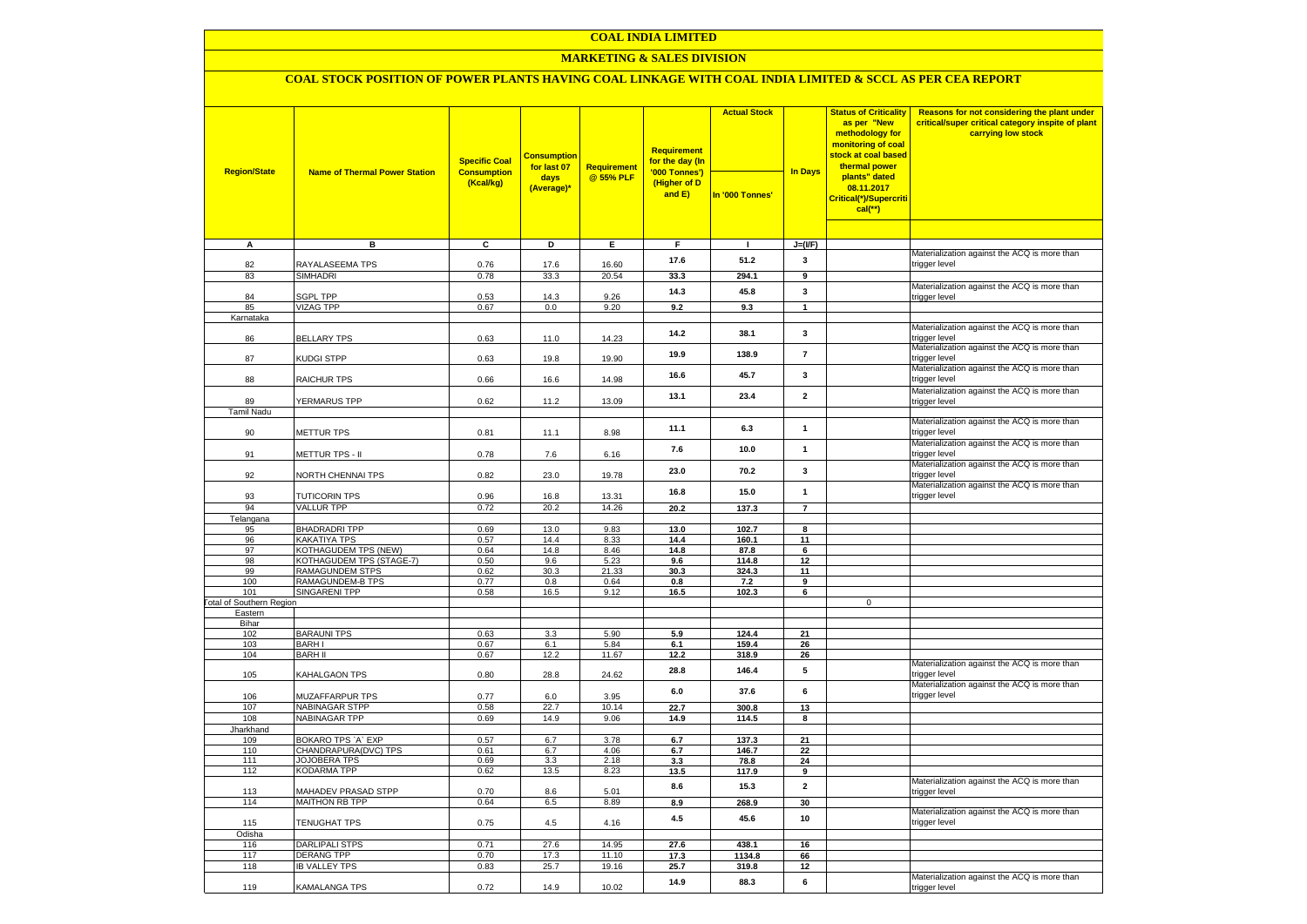### **COAL INDIA LIMITED**

### **MARKETING & SALES DIVISION**

## **COAL STOCK POSITION OF POWER PLANTS HAVING COAL LINKAGE WITH COAL INDIA LIMITED & SCCL AS PER CEA REPORT**

| <b>Region/State</b>                        | <b>Name of Thermal Power Station</b> | <b>Specific Coal</b>            | <b>Consumption</b><br>for last 07 | Requirement    | <b>Requirement</b><br>for the day (In<br>'000 Tonnes') | <b>Actual Stock</b> | <b>In Days</b>        | <b>Status of Criticality</b><br>as per "New<br>methodology for<br>monitoring of coal<br><mark>stock at coal based</mark><br>thermal power | Reasons for not considering the plant under<br>critical/super critical category inspite of plant<br>carrying low stock |
|--------------------------------------------|--------------------------------------|---------------------------------|-----------------------------------|----------------|--------------------------------------------------------|---------------------|-----------------------|-------------------------------------------------------------------------------------------------------------------------------------------|------------------------------------------------------------------------------------------------------------------------|
|                                            |                                      | <b>Consumption</b><br>(Kcal/kg) | days<br>(Average)*                | @ 55% PLF      | (Higher of D<br>and E)                                 | In '000 Tonnes'     |                       | plants" dated<br>08.11.2017<br>Critical(*)/Supercriti<br>$cal$ (**)                                                                       |                                                                                                                        |
|                                            |                                      |                                 |                                   |                |                                                        |                     |                       |                                                                                                                                           |                                                                                                                        |
| $\overline{A}$                             | в                                    | c                               | Þ                                 | E              | F                                                      | $\mathbf{I}$        | $J=(I/F)$             |                                                                                                                                           | Materialization against the ACQ is more than                                                                           |
| 82                                         | RAYALASEEMA TPS                      | 0.76                            | 17.6                              | 16.60          | 17.6                                                   | 51.2                | 3                     |                                                                                                                                           | trigger level                                                                                                          |
| 83                                         | <b>SIMHADRI</b>                      | 0.78                            | 33.3                              | 20.54          | 33.3                                                   | 294.1               | $\overline{9}$        |                                                                                                                                           |                                                                                                                        |
|                                            |                                      |                                 |                                   |                | 14.3                                                   | 45.8                | 3                     |                                                                                                                                           | Materialization against the ACQ is more than                                                                           |
| 84                                         | <b>SGPL TPP</b>                      | 0.53                            | 14.3                              | 9.26           |                                                        |                     |                       |                                                                                                                                           | trigger level                                                                                                          |
| 85<br>Karnataka                            | <b>VIZAG TPP</b>                     | 0.67                            | 0.0                               | 9.20           | 9.2                                                    | 9.3                 | $\mathbf{1}$          |                                                                                                                                           |                                                                                                                        |
|                                            |                                      |                                 |                                   |                |                                                        |                     |                       |                                                                                                                                           | Materialization against the ACQ is more than                                                                           |
| 86                                         | <b>BELLARY TPS</b>                   | 0.63                            | 11.0                              | 14.23          | 14.2                                                   | 38.1                | $\mathbf{3}$          |                                                                                                                                           | trigger level                                                                                                          |
| 87                                         | KUDGI STPP                           | 0.63                            | 19.8                              | 19.90          | 19.9                                                   | 138.9               | $\overline{7}$        |                                                                                                                                           | Materialization against the ACQ is more than<br>trigger level                                                          |
| 88                                         | RAICHUR TPS                          | 0.66                            | 16.6                              | 14.98          | 16.6                                                   | 45.7                | $\mathbf{3}$          |                                                                                                                                           | Materialization against the ACQ is more than<br>trigger level                                                          |
|                                            |                                      |                                 |                                   |                | 13.1                                                   | 23.4                | $\overline{2}$        |                                                                                                                                           | Materialization against the ACQ is more than                                                                           |
| 89                                         | YERMARUS TPP                         | 0.62                            | 11.2                              | 13.09          |                                                        |                     |                       |                                                                                                                                           | trigger level                                                                                                          |
| <b>Tamil Nadu</b>                          |                                      |                                 |                                   |                |                                                        |                     |                       |                                                                                                                                           | Materialization against the ACQ is more than                                                                           |
| 90                                         | <b>METTUR TPS</b>                    | 0.81                            | 11.1                              | 8.98           | 11.1                                                   | 6.3                 | $\mathbf{1}$          |                                                                                                                                           | trigger level                                                                                                          |
| 91                                         | METTUR TPS - II                      | 0.78                            | 7.6                               | 6.16           | 7.6                                                    | 10.0                | $\mathbf{1}$          |                                                                                                                                           | Materialization against the ACQ is more than<br>trigger level                                                          |
|                                            |                                      |                                 |                                   |                |                                                        |                     |                       |                                                                                                                                           | Materialization against the ACQ is more than                                                                           |
| 92                                         | NORTH CHENNAI TPS                    | 0.82                            | 23.0                              | 19.78          | 23.0                                                   | 70.2                | $\mathbf{3}$          |                                                                                                                                           | trigger level<br>Materialization against the ACQ is more than                                                          |
| 93                                         | <b>TUTICORIN TPS</b>                 | 0.96                            | 16.8                              | 13.31          | 16.8                                                   | 15.0                | $\mathbf{1}$          |                                                                                                                                           | trigger level                                                                                                          |
| 94                                         | <b>VALLUR TPP</b>                    | 0.72                            | 20.2                              | 14.26          | 20.2                                                   | 137.3               |                       |                                                                                                                                           |                                                                                                                        |
| Telangana                                  |                                      |                                 |                                   |                |                                                        |                     |                       |                                                                                                                                           |                                                                                                                        |
| 95                                         | <b>BHADRADRI TPP</b>                 | 0.69                            | 13.0                              | 9.83           | 13.0                                                   | 102.7               | 8                     |                                                                                                                                           |                                                                                                                        |
| 96<br>97                                   | KAKATIYA TPS<br>KOTHAGUDEM TPS (NEW) | 0.57<br>0.64                    | 14.4<br>14.8                      | 8.33<br>8.46   | 14.4<br>14.8                                           | 160.1<br>87.8       | 11<br>$6\overline{6}$ |                                                                                                                                           |                                                                                                                        |
| 98                                         | KOTHAGUDEM TPS (STAGE-7)             | 0.50                            | 9.6                               | 5.23           | 9.6                                                    | 114.8               | 12                    |                                                                                                                                           |                                                                                                                        |
| 99                                         | <b>RAMAGUNDEM STPS</b>               | 0.62                            | 30.3                              | 21.33          | 30.3                                                   | 324.3               | 11                    |                                                                                                                                           |                                                                                                                        |
| 100                                        | RAMAGUNDEM-B TPS                     | 0.77                            | 0.8                               | 0.64           | 0.8                                                    | 7.2                 | 9                     |                                                                                                                                           |                                                                                                                        |
| 101                                        | <b>SINGARENI TPP</b>                 | 0.58                            | 16.5                              | 9.12           | 16.5                                                   | 102.3               | 6                     |                                                                                                                                           |                                                                                                                        |
| <b>Total of Southern Region</b><br>Eastern |                                      |                                 |                                   |                |                                                        |                     |                       | $\mathbf 0$                                                                                                                               |                                                                                                                        |
| Bihar                                      |                                      |                                 |                                   |                |                                                        |                     |                       |                                                                                                                                           |                                                                                                                        |
| 102                                        | <b>BARAUNI TPS</b>                   | 0.63                            | 3.3                               | 5.90           | 5.9                                                    | 124.4               | 21                    |                                                                                                                                           |                                                                                                                        |
| 103                                        | <b>BARHI</b>                         | 0.67                            | 6.1                               | 5.84           | 6.1                                                    | 159.4               | 26                    |                                                                                                                                           |                                                                                                                        |
| 104                                        | <b>BARH II</b>                       | 0.67                            | 12.2                              | 11.67          | 12.2                                                   | 318.9               | 26                    |                                                                                                                                           |                                                                                                                        |
| 105                                        | KAHALGAON TPS                        | 0.80                            | 28.8                              | 24.62          | 28.8                                                   | 146.4               | 5                     |                                                                                                                                           | Materialization against the ACQ is more than<br>trigger level                                                          |
| 106                                        | MUZAFFARPUR TPS                      | 0.77                            | 6.0                               | 3.95           | $6.0\,$                                                | 37.6                | 6                     |                                                                                                                                           | Materialization against the ACQ is more than<br>trigger level                                                          |
| 107                                        | <b>NABINAGAR STPP</b>                | 0.58                            | 22.7                              | 10.14          | 22.7                                                   | 300.8               | 13                    |                                                                                                                                           |                                                                                                                        |
| 108<br>Jharkhand                           | <b>NABINAGAR TPP</b>                 | 0.69                            | 14.9                              | 9.06           | 14.9                                                   | 114.5               | 8                     |                                                                                                                                           |                                                                                                                        |
| 109                                        | BOKARO TPS 'A' EXP                   | 0.57                            | 6.7                               | 3.78           | 6.7                                                    | 137.3               | 21                    |                                                                                                                                           |                                                                                                                        |
| 110                                        | CHANDRAPURA(DVC) TPS                 | 0.61                            | 6.7                               | 4.06           | 6.7                                                    | 146.7               | 22                    |                                                                                                                                           |                                                                                                                        |
| 111                                        | <b>JOJOBERA TPS</b>                  | 0.69                            | 3.3                               | 2.18           | 3.3                                                    | 78.8                | 24                    |                                                                                                                                           |                                                                                                                        |
| 112                                        | <b>KODARMA TPP</b>                   | 0.62                            | 13.5                              | 8.23           | 13.5                                                   | 117.9               | 9                     |                                                                                                                                           |                                                                                                                        |
| 113                                        | MAHADEV PRASAD STPP                  | 0.70                            | 8.6                               | 5.01           | 8.6                                                    | 15.3                | $\mathbf{2}$          |                                                                                                                                           | Materialization against the ACQ is more than<br>trigger level                                                          |
| 114                                        | <b>MAITHON RB TPP</b>                | 0.64                            | 6.5                               | 8.89           | 8.9                                                    | 268.9               | 30                    |                                                                                                                                           |                                                                                                                        |
| 115                                        | TENUGHAT TPS                         | 0.75                            | 4.5                               | 4.16           | 4.5                                                    | 45.6                | 10                    |                                                                                                                                           | Materialization against the ACQ is more than<br>trigger level                                                          |
| Odisha                                     |                                      |                                 |                                   |                |                                                        |                     |                       |                                                                                                                                           |                                                                                                                        |
| 116<br>117                                 | DARLIPALI STPS<br><b>DERANG TPP</b>  | 0.71<br>0.70                    | 27.6<br>17.3                      | 14.95<br>11.10 | 27.6<br>17.3                                           | 438.1<br>1134.8     | 16<br>66              |                                                                                                                                           |                                                                                                                        |
| 118                                        | <b>IB VALLEY TPS</b>                 | 0.83                            | 25.7                              | 19.16          | 25.7                                                   | 319.8               | 12                    |                                                                                                                                           |                                                                                                                        |
|                                            |                                      |                                 |                                   |                | 14.9                                                   | 88.3                | 6                     |                                                                                                                                           | Materialization against the ACQ is more than                                                                           |
| 119                                        | KAMALANGA TPS                        | 0.72                            | 14.9                              | 10.02          |                                                        |                     |                       |                                                                                                                                           | trigger level                                                                                                          |